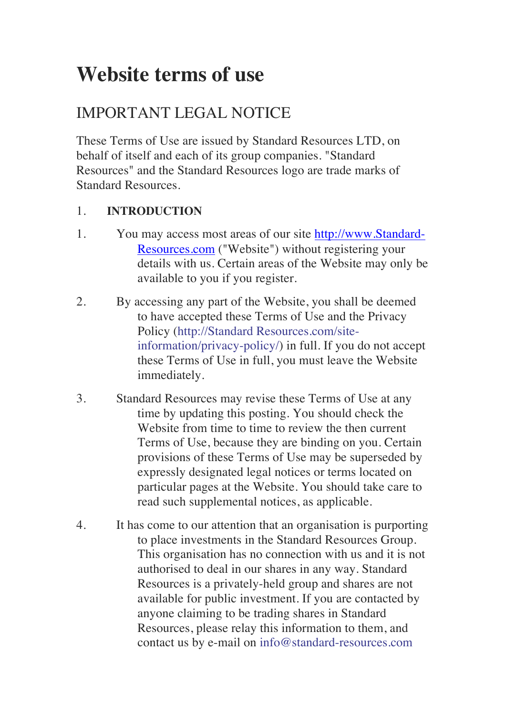# **Website terms of use**

# IMPORTANT LEGAL NOTICE

These Terms of Use are issued by Standard Resources LTD, on behalf of itself and each of its group companies. "Standard Resources" and the Standard Resources logo are trade marks of Standard Resources.

# 1. **INTRODUCTION**

- 1. You may access most areas of our site http://www.Standard-Resources.com ("Website") without registering your details with us. Certain areas of the Website may only be available to you if you register.
- 2. By accessing any part of the Website, you shall be deemed to have accepted these Terms of Use and the Privacy Policy (http://Standard Resources.com/siteinformation/privacy-policy/) in full. If you do not accept these Terms of Use in full, you must leave the Website immediately.
- 3. Standard Resources may revise these Terms of Use at any time by updating this posting. You should check the Website from time to time to review the then current Terms of Use, because they are binding on you. Certain provisions of these Terms of Use may be superseded by expressly designated legal notices or terms located on particular pages at the Website. You should take care to read such supplemental notices, as applicable.
- 4. It has come to our attention that an organisation is purporting to place investments in the Standard Resources Group. This organisation has no connection with us and it is not authorised to deal in our shares in any way. Standard Resources is a privately-held group and shares are not available for public investment. If you are contacted by anyone claiming to be trading shares in Standard Resources, please relay this information to them, and contact us by e-mail on info@standard-resources.com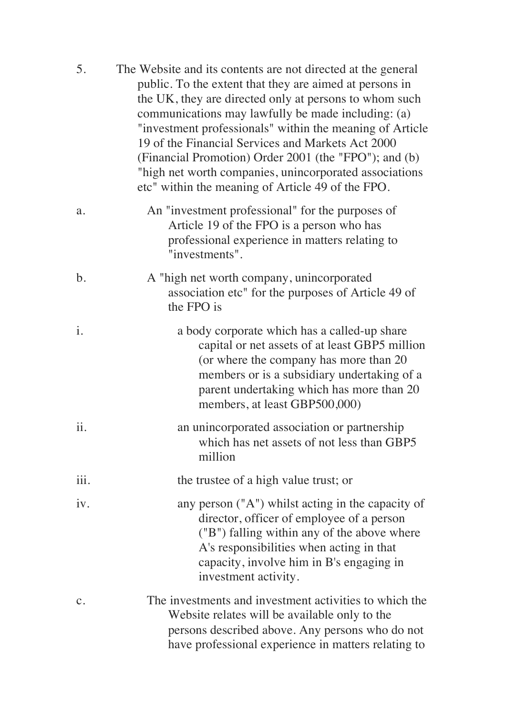| 5.             | The Website and its contents are not directed at the general<br>public. To the extent that they are aimed at persons in<br>the UK, they are directed only at persons to whom such<br>communications may lawfully be made including: (a)<br>"investment professionals" within the meaning of Article<br>19 of the Financial Services and Markets Act 2000<br>(Financial Promotion) Order 2001 (the "FPO"); and (b)<br>"high net worth companies, unincorporated associations<br>etc" within the meaning of Article 49 of the FPO. |
|----------------|----------------------------------------------------------------------------------------------------------------------------------------------------------------------------------------------------------------------------------------------------------------------------------------------------------------------------------------------------------------------------------------------------------------------------------------------------------------------------------------------------------------------------------|
| a.             | An "investment professional" for the purposes of<br>Article 19 of the FPO is a person who has<br>professional experience in matters relating to<br>"investments".                                                                                                                                                                                                                                                                                                                                                                |
| $\mathbf b$ .  | A "high net worth company, unincorporated<br>association etc" for the purposes of Article 49 of<br>the FPO is                                                                                                                                                                                                                                                                                                                                                                                                                    |
| i.             | a body corporate which has a called-up share<br>capital or net assets of at least GBP5 million<br>(or where the company has more than 20)<br>members or is a subsidiary undertaking of a<br>parent undertaking which has more than 20<br>members, at least GBP500,000)                                                                                                                                                                                                                                                           |
| ii.            | an unincorporated association or partnership<br>which has net assets of not less than GBP5<br>million                                                                                                                                                                                                                                                                                                                                                                                                                            |
| iii.           | the trustee of a high value trust; or                                                                                                                                                                                                                                                                                                                                                                                                                                                                                            |
| iv.            | any person $("A")$ whilst acting in the capacity of<br>director, officer of employee of a person<br>("B") falling within any of the above where<br>A's responsibilities when acting in that<br>capacity, involve him in B's engaging in<br>investment activity.                                                                                                                                                                                                                                                                  |
| $\mathbf{C}$ . | The investments and investment activities to which the<br>Website relates will be available only to the<br>persons described above. Any persons who do not<br>have professional experience in matters relating to                                                                                                                                                                                                                                                                                                                |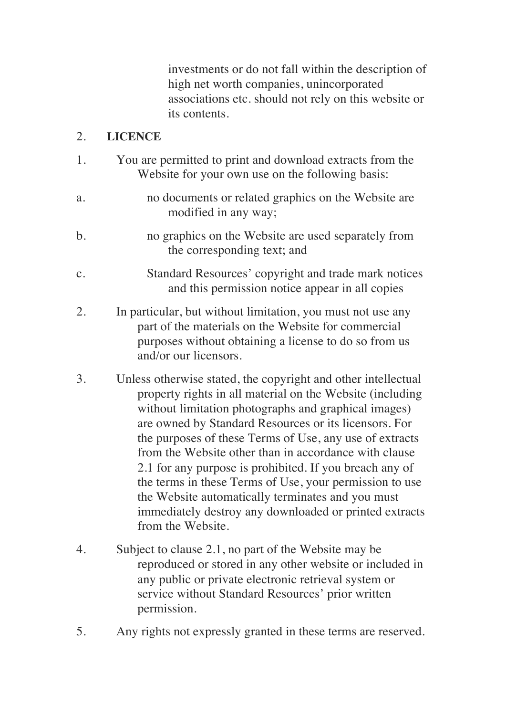investments or do not fall within the description of high net worth companies, unincorporated associations etc. should not rely on this website or its contents.

#### 2. **LICENCE**

- 1. You are permitted to print and download extracts from the Website for your own use on the following basis:
- a. no documents or related graphics on the Website are modified in any way;
- b. no graphics on the Website are used separately from the corresponding text; and
- c. Standard Resources' copyright and trade mark notices and this permission notice appear in all copies
- 2. In particular, but without limitation, you must not use any part of the materials on the Website for commercial purposes without obtaining a license to do so from us and/or our licensors.
- 3. Unless otherwise stated, the copyright and other intellectual property rights in all material on the Website (including without limitation photographs and graphical images) are owned by Standard Resources or its licensors. For the purposes of these Terms of Use, any use of extracts from the Website other than in accordance with clause 2.1 for any purpose is prohibited. If you breach any of the terms in these Terms of Use, your permission to use the Website automatically terminates and you must immediately destroy any downloaded or printed extracts from the Website.
- 4. Subject to clause 2.1, no part of the Website may be reproduced or stored in any other website or included in any public or private electronic retrieval system or service without Standard Resources' prior written permission.
- 5. Any rights not expressly granted in these terms are reserved.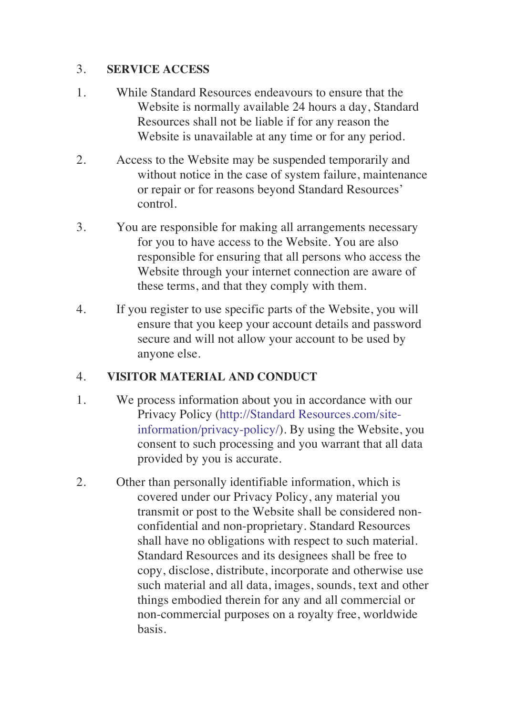#### 3. **SERVICE ACCESS**

- 1. While Standard Resources endeavours to ensure that the Website is normally available 24 hours a day, Standard Resources shall not be liable if for any reason the Website is unavailable at any time or for any period.
- 2. Access to the Website may be suspended temporarily and without notice in the case of system failure, maintenance or repair or for reasons beyond Standard Resources' control.
- 3. You are responsible for making all arrangements necessary for you to have access to the Website. You are also responsible for ensuring that all persons who access the Website through your internet connection are aware of these terms, and that they comply with them.
- 4. If you register to use specific parts of the Website, you will ensure that you keep your account details and password secure and will not allow your account to be used by anyone else.

#### 4. **VISITOR MATERIAL AND CONDUCT**

- 1. We process information about you in accordance with our Privacy Policy (http://Standard Resources.com/siteinformation/privacy-policy/). By using the Website, you consent to such processing and you warrant that all data provided by you is accurate.
- 2. Other than personally identifiable information, which is covered under our Privacy Policy, any material you transmit or post to the Website shall be considered nonconfidential and non-proprietary. Standard Resources shall have no obligations with respect to such material. Standard Resources and its designees shall be free to copy, disclose, distribute, incorporate and otherwise use such material and all data, images, sounds, text and other things embodied therein for any and all commercial or non-commercial purposes on a royalty free, worldwide basis.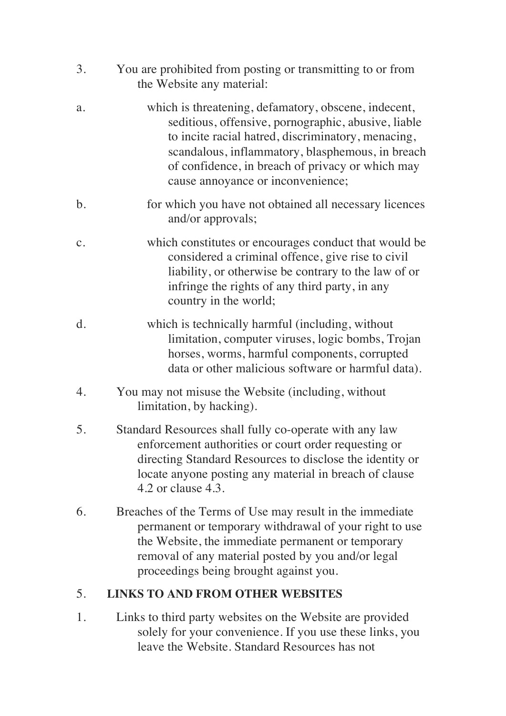- 3. You are prohibited from posting or transmitting to or from the Website any material:
- a. which is threatening, defamatory, obscene, indecent, seditious, offensive, pornographic, abusive, liable to incite racial hatred, discriminatory, menacing, scandalous, inflammatory, blasphemous, in breach of confidence, in breach of privacy or which may cause annoyance or inconvenience;
- b. for which you have not obtained all necessary licences and/or approvals;
- c. which constitutes or encourages conduct that would be considered a criminal offence, give rise to civil liability, or otherwise be contrary to the law of or infringe the rights of any third party, in any country in the world;
- d. which is technically harmful (including, without limitation, computer viruses, logic bombs, Trojan horses, worms, harmful components, corrupted data or other malicious software or harmful data).
- 4. You may not misuse the Website (including, without limitation, by hacking).
- 5. Standard Resources shall fully co-operate with any law enforcement authorities or court order requesting or directing Standard Resources to disclose the identity or locate anyone posting any material in breach of clause 4.2 or clause 4.3.
- 6. Breaches of the Terms of Use may result in the immediate permanent or temporary withdrawal of your right to use the Website, the immediate permanent or temporary removal of any material posted by you and/or legal proceedings being brought against you.

## 5. **LINKS TO AND FROM OTHER WEBSITES**

1. Links to third party websites on the Website are provided solely for your convenience. If you use these links, you leave the Website. Standard Resources has not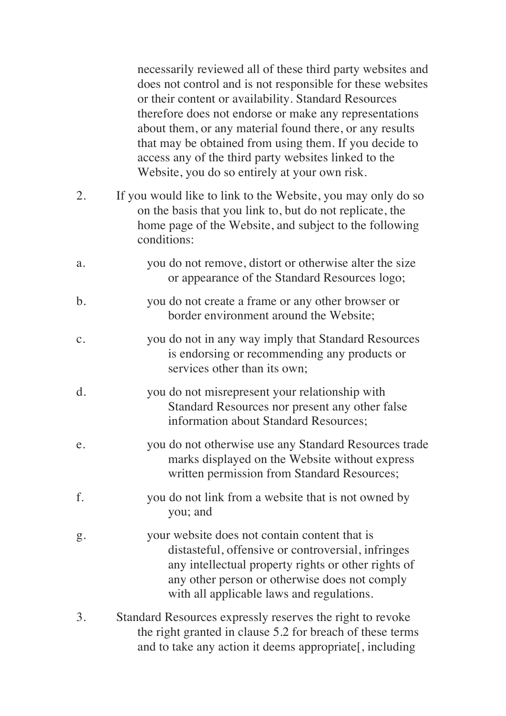necessarily reviewed all of these third party websites and does not control and is not responsible for these websites or their content or availability. Standard Resources therefore does not endorse or make any representations about them, or any material found there, or any results that may be obtained from using them. If you decide to access any of the third party websites linked to the Website, you do so entirely at your own risk.

- 2. If you would like to link to the Website, you may only do so on the basis that you link to, but do not replicate, the home page of the Website, and subject to the following conditions:
- a. you do not remove, distort or otherwise alter the size or appearance of the Standard Resources logo;
- b. you do not create a frame or any other browser or border environment around the Website;
- c. you do not in any way imply that Standard Resources is endorsing or recommending any products or services other than its own;
- d. you do not misrepresent your relationship with Standard Resources nor present any other false information about Standard Resources;
- e. you do not otherwise use any Standard Resources trade marks displayed on the Website without express written permission from Standard Resources;
- f. you do not link from a website that is not owned by you; and
- g. your website does not contain content that is distasteful, offensive or controversial, infringes any intellectual property rights or other rights of any other person or otherwise does not comply with all applicable laws and regulations.
- 3. Standard Resources expressly reserves the right to revoke the right granted in clause 5.2 for breach of these terms and to take any action it deems appropriate[, including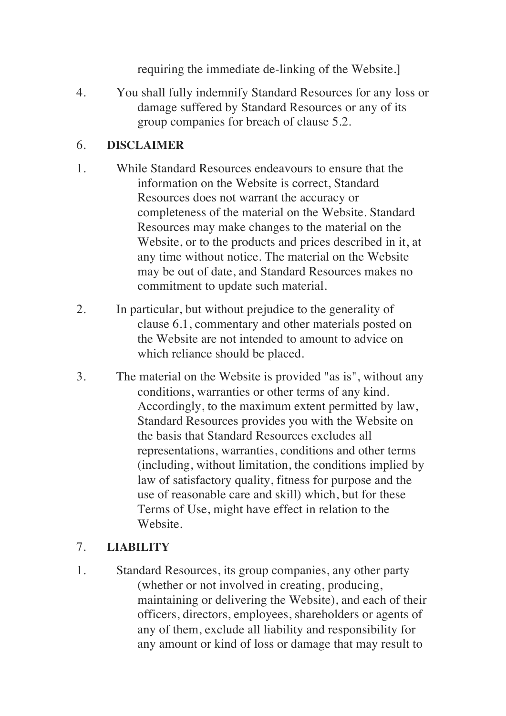requiring the immediate de-linking of the Website.]

4. You shall fully indemnify Standard Resources for any loss or damage suffered by Standard Resources or any of its group companies for breach of clause 5.2.

#### 6. **DISCLAIMER**

- 1. While Standard Resources endeavours to ensure that the information on the Website is correct, Standard Resources does not warrant the accuracy or completeness of the material on the Website. Standard Resources may make changes to the material on the Website, or to the products and prices described in it, at any time without notice. The material on the Website may be out of date, and Standard Resources makes no commitment to update such material.
- 2. In particular, but without prejudice to the generality of clause 6.1, commentary and other materials posted on the Website are not intended to amount to advice on which reliance should be placed.
- 3. The material on the Website is provided "as is", without any conditions, warranties or other terms of any kind. Accordingly, to the maximum extent permitted by law, Standard Resources provides you with the Website on the basis that Standard Resources excludes all representations, warranties, conditions and other terms (including, without limitation, the conditions implied by law of satisfactory quality, fitness for purpose and the use of reasonable care and skill) which, but for these Terms of Use, might have effect in relation to the Website.

## 7. **LIABILITY**

1. Standard Resources, its group companies, any other party (whether or not involved in creating, producing, maintaining or delivering the Website), and each of their officers, directors, employees, shareholders or agents of any of them, exclude all liability and responsibility for any amount or kind of loss or damage that may result to